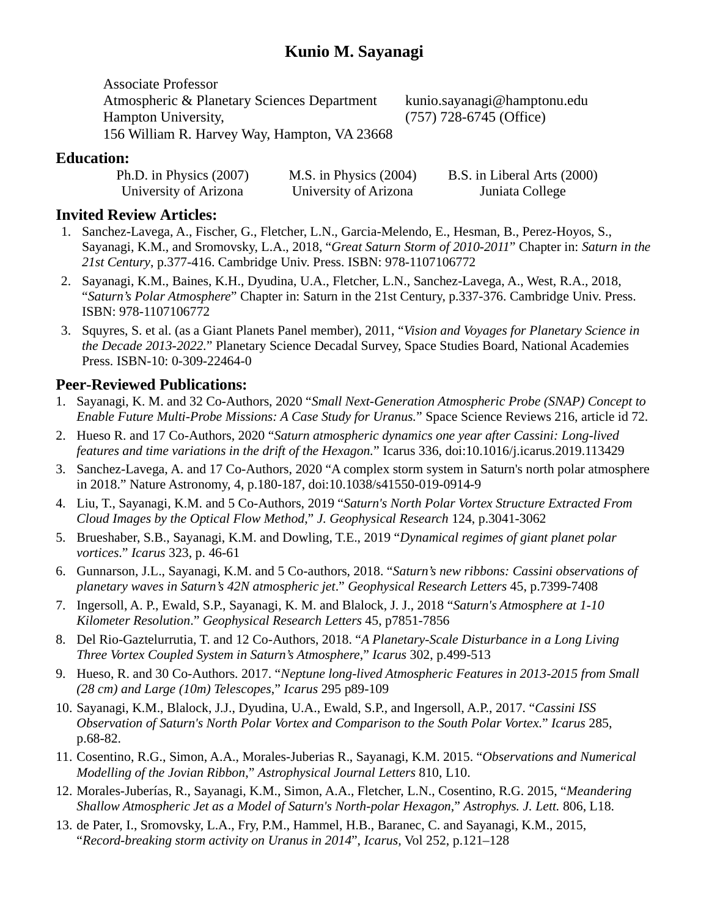Associate Professor Atmospheric & Planetary Sciences Department Hampton University, 156 William R. Harvey Way, Hampton, VA 23668

kunio.sayanagi@hamptonu.edu (757) 728-6745 (Office)

#### **Education:**

| Ph.D. in Physics $(2007)$ | M.S. in Physics $(2004)$ | B.S. in Liberal Arts (2000) |
|---------------------------|--------------------------|-----------------------------|
| University of Arizona     | University of Arizona    | Juniata College             |

#### **Invited Review Articles:**

- 1. Sanchez-Lavega, A., Fischer, G., Fletcher, L.N., Garcia-Melendo, E., Hesman, B., Perez-Hoyos, S., Sayanagi, K.M., and Sromovsky, L.A., 2018, "*Great Saturn Storm of 2010-2011*" Chapter in: *Saturn in the 21st Century*, p.377-416. Cambridge Univ. Press. ISBN: 978-1107106772
- 2. Sayanagi, K.M., Baines, K.H., Dyudina, U.A., Fletcher, L.N., Sanchez-Lavega, A., West, R.A., 2018, "*Saturn's Polar Atmosphere*" Chapter in: Saturn in the 21st Century, p.337-376. Cambridge Univ. Press. ISBN: 978-1107106772
- 3. Squyres, S. et al. (as a Giant Planets Panel member), 2011, "*Vision and Voyages for Planetary Science in the Decade 2013-2022.*" Planetary Science Decadal Survey, Space Studies Board, National Academies Press. ISBN-10: 0-309-22464-0

#### **Peer-Reviewed Publications:**

- 1. Sayanagi, K. M. and 32 Co-Authors, 2020 "*Small Next-Generation Atmospheric Probe (SNAP) Concept to Enable Future Multi-Probe Missions: A Case Study for Uranus.*" Space Science Reviews 216, article id 72.
- 2. Hueso R. and 17 Co-Authors, 2020 "*Saturn atmospheric dynamics one year after Cassini: Long-lived features and time variations in the drift of the Hexagon.*" Icarus 336, doi:10.1016/j.icarus.2019.113429
- 3. Sanchez-Lavega, A. and 17 Co-Authors, 2020 "A complex storm system in Saturn's north polar atmosphere in 2018." Nature Astronomy, 4, p.180-187, doi:10.1038/s41550-019-0914-9
- 4. Liu, T., Sayanagi, K.M. and 5 Co-Authors, 2019 "*Saturn's North Polar Vortex Structure Extracted From Cloud Images by the Optical Flow Method*," *J. Geophysical Research* 124, p.3041-3062
- 5. Brueshaber, S.B., Sayanagi, K.M. and Dowling, T.E., 2019 "*Dynamical regimes of giant planet polar vortices*." *Icarus* 323, p. 46-61
- 6. Gunnarson, J.L., Sayanagi, K.M. and 5 Co-authors, 2018. "*Saturn's new ribbons: Cassini observations of planetary waves in Saturn's 42N atmospheric jet*." *Geophysical Research Letters* 45, p.7399-7408
- 7. Ingersoll, A. P., Ewald, S.P., Sayanagi, K. M. and Blalock, J. J., 2018 "*Saturn's Atmosphere at 1-10 Kilometer Resolution*." *Geophysical Research Letters* 45, p7851-7856
- 8. Del Rio-Gaztelurrutia, T. and 12 Co-Authors, 2018. "*A Planetary-Scale Disturbance in a Long Living Three Vortex Coupled System in Saturn's Atmosphere*," *Icarus* 302, p.499-513
- 9. Hueso, R. and 30 Co-Authors. 2017. "*Neptune long-lived Atmospheric Features in 2013-2015 from Small (28 cm) and Large (10m) Telescopes*," *Icarus* 295 p89-109
- 10. Sayanagi, K.M., Blalock, J.J., Dyudina, U.A., Ewald, S.P., and Ingersoll, A.P., 2017. "*Cassini ISS Observation of Saturn's North Polar Vortex and Comparison to the South Polar Vortex.*" *Icarus* 285, p.68-82.
- 11. Cosentino, R.G., Simon, A.A., Morales-Juberias R., Sayanagi, K.M. 2015. "*Observations and Numerical Modelling of the Jovian Ribbon*," *Astrophysical Journal Letters* 810, L10.
- 12. Morales-Juberías, R., Sayanagi, K.M., Simon, A.A., Fletcher, L.N., Cosentino, R.G. 2015, "*Meandering Shallow Atmospheric Jet as a Model of Saturn's North-polar Hexagon*," *Astrophys. J. Lett.* 806, L18.
- 13. de Pater, I., Sromovsky, L.A., Fry, P.M., Hammel, H.B., Baranec, C. and Sayanagi, K.M., 2015, "*Record-breaking storm activity on Uranus in 2014*", *Icarus,* Vol 252, p.121–128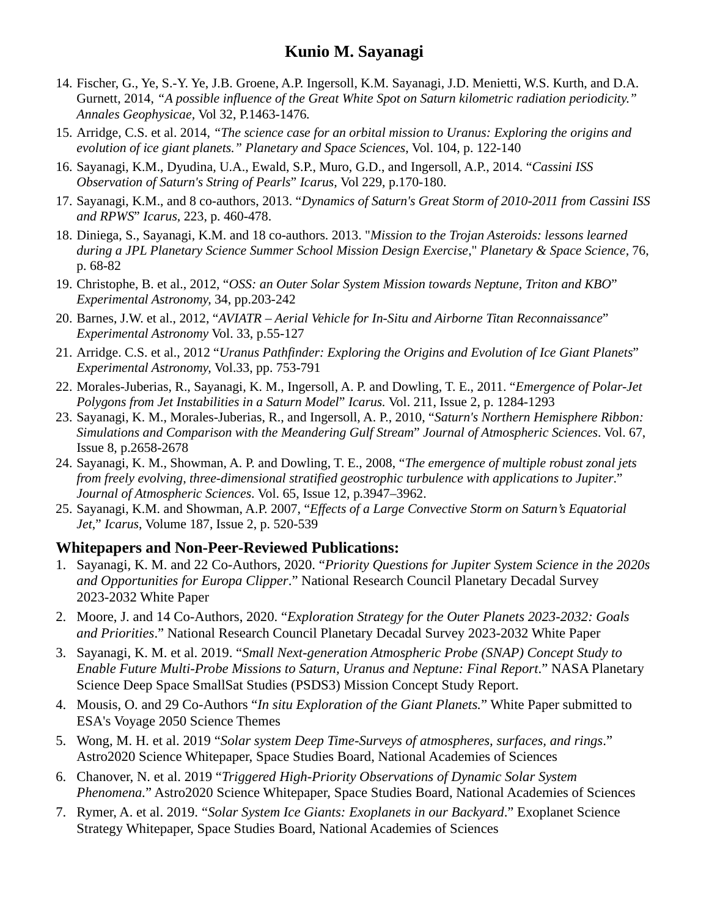- 14. Fischer, G., Ye, S.-Y. Ye, J.B. Groene, A.P. Ingersoll, K.M. Sayanagi, J.D. Menietti, W.S. Kurth, and D.A. Gurnett, 2014, *"A possible influence of the Great White Spot on Saturn kilometric radiation periodicity." Annales Geophysicae,* Vol 32, P.1463-1476*.*
- 15. Arridge, C.S. et al. 2014, *"The science case for an orbital mission to Uranus: Exploring the origins and evolution of ice giant planets." Planetary and Space Sciences*, Vol. 104, p. 122-140
- 16. Sayanagi, K.M., Dyudina, U.A., Ewald, S.P., Muro, G.D., and Ingersoll, A.P., 2014. "*Cassini ISS Observation of Saturn's String of Pearls*" *Icarus,* Vol 229, p.170-180.
- 17. Sayanagi, K.M., and 8 co-authors, 2013. "*Dynamics of Saturn's Great Storm of 2010-2011 from Cassini ISS and RPWS*" *Icarus,* 223, p. 460-478.
- 18. Diniega, S., Sayanagi, K.M. and 18 co-authors. 2013. "*Mission to the Trojan Asteroids: lessons learned during a JPL Planetary Science Summer School Mission Design Exercise*," *Planetary & Space Science,* 76, p. 68-82
- 19. Christophe, B. et al., 2012, "*OSS: an Outer Solar System Mission towards Neptune, Triton and KBO*" *Experimental Astronomy,* 34, pp.203-242
- 20. Barnes, J.W. et al., 2012, "*AVIATR – Aerial Vehicle for In-Situ and Airborne Titan Reconnaissance*" *Experimental Astronomy* Vol. 33, p.55-127
- 21. Arridge. C.S. et al., 2012 "*Uranus Pathfinder: Exploring the Origins and Evolution of Ice Giant Planets*" *Experimental Astronomy,* Vol.33, pp. 753-791
- 22. Morales-Juberias, R., Sayanagi, K. M., Ingersoll, A. P. and Dowling, T. E., 2011. "*Emergence of Polar-Jet Polygons from Jet Instabilities in a Saturn Model*" *Icarus.* Vol. 211, Issue 2, p. 1284-1293
- 23. Sayanagi, K. M., Morales-Juberias, R., and Ingersoll, A. P., 2010, "*Saturn's Northern Hemisphere Ribbon: Simulations and Comparison with the Meandering Gulf Stream*" *Journal of Atmospheric Sciences*. Vol. 67, Issue 8, p.2658-2678
- 24. Sayanagi, K. M., Showman, A. P. and Dowling, T. E., 2008, "*The emergence of multiple robust zonal jets from freely evolving, three-dimensional stratified geostrophic turbulence with applications to Jupiter*." *Journal of Atmospheric Sciences*. Vol. 65, Issue 12, p.3947–3962.
- 25. Sayanagi, K.M. and Showman, A.P. 2007, "*Effects of a Large Convective Storm on Saturn's Equatorial Jet*," *Icarus*, Volume 187, Issue 2, p. 520-539

#### **Whitepapers and Non-Peer-Reviewed Publications:**

- 1. Sayanagi, K. M. and 22 Co-Authors, 2020. "*Priority Questions for Jupiter System Science in the 2020s and Opportunities for Europa Clipper*." National Research Council Planetary Decadal Survey 2023-2032 White Paper
- 2. Moore, J. and 14 Co-Authors, 2020. "*Exploration Strategy for the Outer Planets 2023-2032: Goals and Priorities*." National Research Council Planetary Decadal Survey 2023-2032 White Paper
- 3. Sayanagi, K. M. et al. 2019. "*Small Next-generation Atmospheric Probe (SNAP) Concept Study to Enable Future Multi-Probe Missions to Saturn, Uranus and Neptune: Final Report*." NASA Planetary Science Deep Space SmallSat Studies (PSDS3) Mission Concept Study Report.
- 4. Mousis, O. and 29 Co-Authors "*In situ Exploration of the Giant Planets.*" White Paper submitted to ESA's Voyage 2050 Science Themes
- 5. Wong, M. H. et al. 2019 "*Solar system Deep Time-Surveys of atmospheres, surfaces, and rings*." Astro2020 Science Whitepaper, Space Studies Board, National Academies of Sciences
- 6. Chanover, N. et al. 2019 "*Triggered High-Priority Observations of Dynamic Solar System Phenomena.*" Astro2020 Science Whitepaper, Space Studies Board, National Academies of Sciences
- 7. Rymer, A. et al. 2019. "*Solar System Ice Giants: Exoplanets in our Backyard*." Exoplanet Science Strategy Whitepaper, Space Studies Board, National Academies of Sciences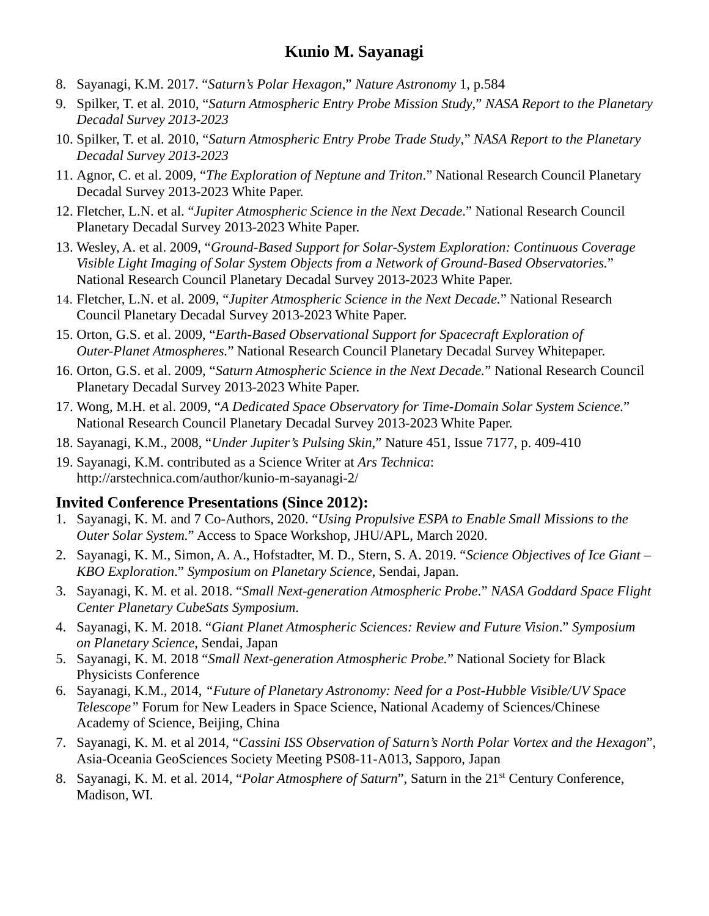- 8. Sayanagi, K.M. 2017. "*Saturn's Polar Hexagon*," *Nature Astronomy* 1, p.584
- 9. Spilker, T. et al. 2010, "*Saturn Atmospheric Entry Probe Mission Study*," *NASA Report to the Planetary Decadal Survey 2013-2023*
- 10. Spilker, T. et al. 2010, "*Saturn Atmospheric Entry Probe Trade Study*," *NASA Report to the Planetary Decadal Survey 2013-2023*
- 11. Agnor, C. et al. 2009, "*The Exploration of Neptune and Triton*." National Research Council Planetary Decadal Survey 2013-2023 White Paper.
- 12. Fletcher, L.N. et al. "*Jupiter Atmospheric Science in the Next Decade*." National Research Council Planetary Decadal Survey 2013-2023 White Paper.
- 13. Wesley, A. et al. 2009, "*Ground-Based Support for Solar-System Exploration: Continuous Coverage Visible Light Imaging of Solar System Objects from a Network of Ground-Based Observatories.*" National Research Council Planetary Decadal Survey 2013-2023 White Paper.
- 14. Fletcher, L.N. et al. 2009, "*Jupiter Atmospheric Science in the Next Decade.*" National Research Council Planetary Decadal Survey 2013-2023 White Paper.
- 15. Orton, G.S. et al. 2009, "*Earth-Based Observational Support for Spacecraft Exploration of Outer-Planet Atmospheres.*" National Research Council Planetary Decadal Survey Whitepaper.
- 16. Orton, G.S. et al. 2009, "*Saturn Atmospheric Science in the Next Decade.*" National Research Council Planetary Decadal Survey 2013-2023 White Paper.
- 17. Wong, M.H. et al. 2009, "*A Dedicated Space Observatory for Time-Domain Solar System Science.*" National Research Council Planetary Decadal Survey 2013-2023 White Paper.
- 18. Sayanagi, K.M., 2008, "*Under Jupiter's Pulsing Skin,*" Nature 451, Issue 7177, p. 409-410
- 19. Sayanagi, K.M. contributed as a Science Writer at *Ars Technica*: http://arstechnica.com/author/kunio-m-sayanagi-2/

#### **Invited Conference Presentations (Since 2012):**

- 1. Sayanagi, K. M. and 7 Co-Authors, 2020. "*Using Propulsive ESPA to Enable Small Missions to the Outer Solar System.*" Access to Space Workshop, JHU/APL, March 2020.
- 2. Sayanagi, K. M., Simon, A. A., Hofstadter, M. D., Stern, S. A. 2019. "*Science Objectives of Ice Giant – KBO Exploration*." *Symposium on Planetary Science*, Sendai, Japan.
- 3. Sayanagi, K. M. et al. 2018. "*Small Next-generation Atmospheric Probe*." *NASA Goddard Space Flight Center Planetary CubeSats Symposium*.
- 4. Sayanagi, K. M. 2018. "*Giant Planet Atmospheric Sciences: Review and Future Vision*." *Symposium on Planetary Science*, Sendai, Japan
- 5. Sayanagi, K. M. 2018 "*Small Next-generation Atmospheric Probe.*" National Society for Black Physicists Conference
- 6. Sayanagi, K.M., 2014, *"Future of Planetary Astronomy: Need for a Post-Hubble Visible/UV Space Telescope"* Forum for New Leaders in Space Science, National Academy of Sciences/Chinese Academy of Science, Beijing, China
- 7. Sayanagi, K. M. et al 2014, "*Cassini ISS Observation of Saturn's North Polar Vortex and the Hexagon*", Asia-Oceania GeoSciences Society Meeting PS08-11-A013, Sapporo, Japan
- 8. Sayanagi, K. M. et al. 2014, "*Polar Atmosphere of Saturn*", Saturn in the 21st Century Conference, Madison, WI.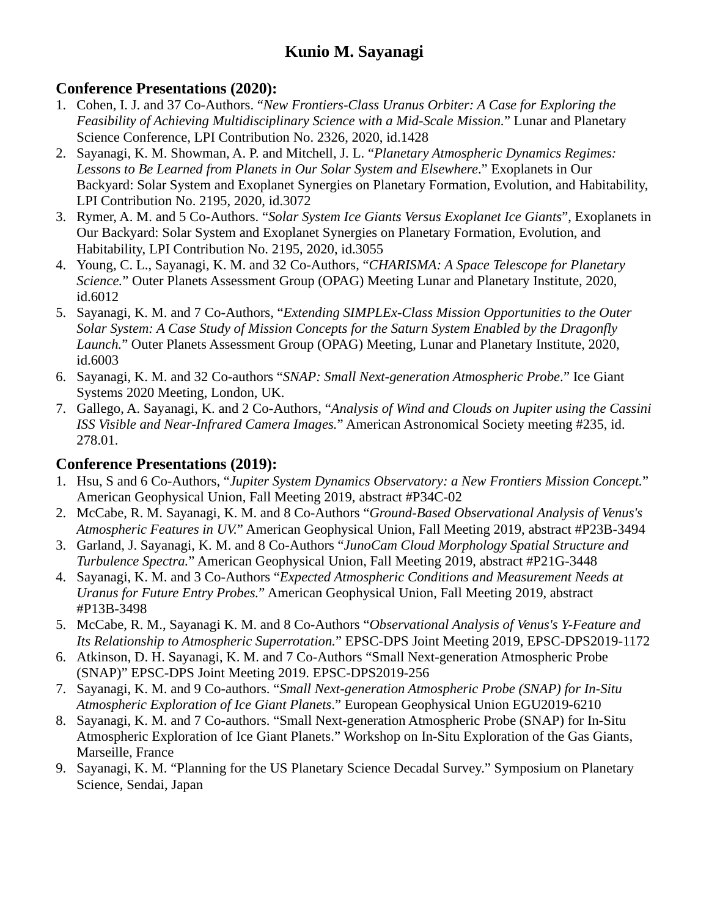### **Conference Presentations (2020):**

- 1. Cohen, I. J. and 37 Co-Authors. "*New Frontiers-Class Uranus Orbiter: A Case for Exploring the Feasibility of Achieving Multidisciplinary Science with a Mid-Scale Mission.*" Lunar and Planetary Science Conference, LPI Contribution No. 2326, 2020, id.1428
- 2. Sayanagi, K. M. Showman, A. P. and Mitchell, J. L. "*Planetary Atmospheric Dynamics Regimes: Lessons to Be Learned from Planets in Our Solar System and Elsewhere*." Exoplanets in Our Backyard: Solar System and Exoplanet Synergies on Planetary Formation, Evolution, and Habitability, LPI Contribution No. 2195, 2020, id.3072
- 3. Rymer, A. M. and 5 Co-Authors. "*Solar System Ice Giants Versus Exoplanet Ice Giants*", Exoplanets in Our Backyard: Solar System and Exoplanet Synergies on Planetary Formation, Evolution, and Habitability, LPI Contribution No. 2195, 2020, id.3055
- 4. Young, C. L., Sayanagi, K. M. and 32 Co-Authors, "*CHARISMA: A Space Telescope for Planetary Science.*" Outer Planets Assessment Group (OPAG) Meeting Lunar and Planetary Institute, 2020, id.6012
- 5. Sayanagi, K. M. and 7 Co-Authors, "*Extending SIMPLEx-Class Mission Opportunities to the Outer Solar System: A Case Study of Mission Concepts for the Saturn System Enabled by the Dragonfly Launch.*" Outer Planets Assessment Group (OPAG) Meeting, Lunar and Planetary Institute, 2020, id.6003
- 6. Sayanagi, K. M. and 32 Co-authors "*SNAP: Small Next-generation Atmospheric Probe*." Ice Giant Systems 2020 Meeting, London, UK.
- 7. Gallego, A. Sayanagi, K. and 2 Co-Authors, "*Analysis of Wind and Clouds on Jupiter using the Cassini ISS Visible and Near-Infrared Camera Images.*" American Astronomical Society meeting #235, id. 278.01.

### **Conference Presentations (2019):**

- 1. Hsu, S and 6 Co-Authors, "*Jupiter System Dynamics Observatory: a New Frontiers Mission Concept.*" American Geophysical Union, Fall Meeting 2019, abstract #P34C-02
- 2. McCabe, R. M. Sayanagi, K. M. and 8 Co-Authors "*Ground-Based Observational Analysis of Venus's Atmospheric Features in UV.*" American Geophysical Union, Fall Meeting 2019, abstract #P23B-3494
- 3. Garland, J. Sayanagi, K. M. and 8 Co-Authors "*JunoCam Cloud Morphology Spatial Structure and Turbulence Spectra.*" American Geophysical Union, Fall Meeting 2019, abstract #P21G-3448
- 4. Sayanagi, K. M. and 3 Co-Authors "*Expected Atmospheric Conditions and Measurement Needs at Uranus for Future Entry Probes.*" American Geophysical Union, Fall Meeting 2019, abstract #P13B-3498
- 5. McCabe, R. M., Sayanagi K. M. and 8 Co-Authors "*Observational Analysis of Venus's Y-Feature and Its Relationship to Atmospheric Superrotation.*" EPSC-DPS Joint Meeting 2019, EPSC-DPS2019-1172
- 6. Atkinson, D. H. Sayanagi, K. M. and 7 Co-Authors "Small Next-generation Atmospheric Probe (SNAP)" EPSC-DPS Joint Meeting 2019. EPSC-DPS2019-256
- 7. Sayanagi, K. M. and 9 Co-authors. "*Small Next-generation Atmospheric Probe (SNAP) for In-Situ Atmospheric Exploration of Ice Giant Planets*." European Geophysical Union EGU2019-6210
- 8. Sayanagi, K. M. and 7 Co-authors. "Small Next-generation Atmospheric Probe (SNAP) for In-Situ Atmospheric Exploration of Ice Giant Planets." Workshop on In-Situ Exploration of the Gas Giants, Marseille, France
- 9. Sayanagi, K. M. "Planning for the US Planetary Science Decadal Survey." Symposium on Planetary Science, Sendai, Japan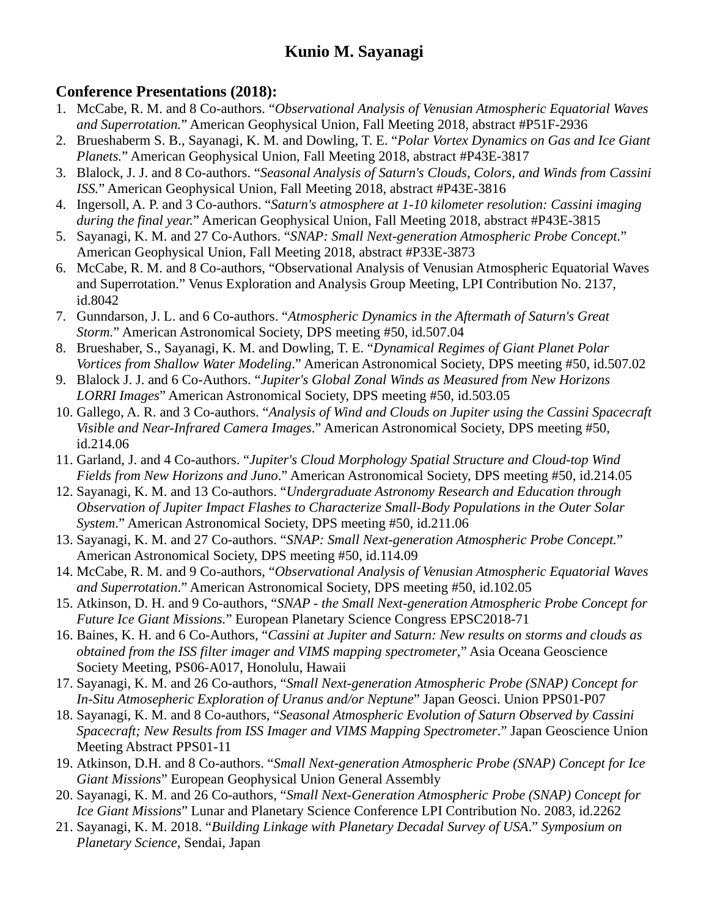### **Conference Presentations (2018):**

- 1. McCabe, R. M. and 8 Co-authors. "*Observational Analysis of Venusian Atmospheric Equatorial Waves and Superrotation.*" American Geophysical Union, Fall Meeting 2018, abstract #P51F-2936
- 2. Brueshaberm S. B., Sayanagi, K. M. and Dowling, T. E. "*Polar Vortex Dynamics on Gas and Ice Giant Planets.*" American Geophysical Union, Fall Meeting 2018, abstract #P43E-3817
- 3. Blalock, J. J. and 8 Co-authors. "*Seasonal Analysis of Saturn's Clouds, Colors, and Winds from Cassini ISS.*" American Geophysical Union, Fall Meeting 2018, abstract #P43E-3816
- 4. Ingersoll, A. P. and 3 Co-authors. "*Saturn's atmosphere at 1-10 kilometer resolution: Cassini imaging during the final year.*" American Geophysical Union, Fall Meeting 2018, abstract #P43E-3815
- 5. Sayanagi, K. M. and 27 Co-Authors. "*SNAP: Small Next-generation Atmospheric Probe Concept.*" American Geophysical Union, Fall Meeting 2018, abstract #P33E-3873
- 6. McCabe, R. M. and 8 Co-authors, "Observational Analysis of Venusian Atmospheric Equatorial Waves and Superrotation." Venus Exploration and Analysis Group Meeting, LPI Contribution No. 2137, id.8042
- 7. Gunndarson, J. L. and 6 Co-authors. "*Atmospheric Dynamics in the Aftermath of Saturn's Great Storm.*" American Astronomical Society, DPS meeting #50, id.507.04
- 8. Brueshaber, S., Sayanagi, K. M. and Dowling, T. E. "*Dynamical Regimes of Giant Planet Polar Vortices from Shallow Water Modeling*." American Astronomical Society, DPS meeting #50, id.507.02
- 9. Blalock J. J. and 6 Co-Authors. "*Jupiter's Global Zonal Winds as Measured from New Horizons LORRI Images*" American Astronomical Society, DPS meeting #50, id.503.05
- 10. Gallego, A. R. and 3 Co-authors. "*Analysis of Wind and Clouds on Jupiter using the Cassini Spacecraft Visible and Near-Infrared Camera Images*." American Astronomical Society, DPS meeting #50, id.214.06
- 11. Garland, J. and 4 Co-authors. "*Jupiter's Cloud Morphology Spatial Structure and Cloud-top Wind Fields from New Horizons and Juno*." American Astronomical Society, DPS meeting #50, id.214.05
- 12. Sayanagi, K. M. and 13 Co-authors. "*Undergraduate Astronomy Research and Education through Observation of Jupiter Impact Flashes to Characterize Small-Body Populations in the Outer Solar System*." American Astronomical Society, DPS meeting #50, id.211.06
- 13. Sayanagi, K. M. and 27 Co-authors. "*SNAP: Small Next-generation Atmospheric Probe Concept.*" American Astronomical Society, DPS meeting #50, id.114.09
- 14. McCabe, R. M. and 9 Co-authors, "*Observational Analysis of Venusian Atmospheric Equatorial Waves and Superrotation*." American Astronomical Society, DPS meeting #50, id.102.05
- 15. Atkinson, D. H. and 9 Co-authors, "*SNAP - the Small Next-generation Atmospheric Probe Concept for Future Ice Giant Missions.*" European Planetary Science Congress EPSC2018-71
- 16. Baines, K. H. and 6 Co-Authors, "*Cassini at Jupiter and Saturn: New results on storms and clouds as obtained from the ISS filter imager and VIMS mapping spectrometer*," Asia Oceana Geoscience Society Meeting, PS06-A017, Honolulu, Hawaii
- 17. Sayanagi, K. M. and 26 Co-authors, "*Small Next-generation Atmospheric Probe (SNAP) Concept for In-Situ Atmosepheric Exploration of Uranus and/or Neptune*" Japan Geosci. Union PPS01-P07
- 18. Sayanagi, K. M. and 8 Co-authors, "*Seasonal Atmospheric Evolution of Saturn Observed by Cassini Spacecraft; New Results from ISS Imager and VIMS Mapping Spectrometer*." Japan Geoscience Union Meeting Abstract PPS01-11
- 19. Atkinson, D.H. and 8 Co-authors. "*Small Next-generation Atmospheric Probe (SNAP) Concept for Ice Giant Missions*" European Geophysical Union General Assembly
- 20. Sayanagi, K. M. and 26 Co-authors, "*Small Next-Generation Atmospheric Probe (SNAP) Concept for Ice Giant Missions*" Lunar and Planetary Science Conference LPI Contribution No. 2083, id.2262
- 21. Sayanagi, K. M. 2018. "*Building Linkage with Planetary Decadal Survey of USA*." *Symposium on Planetary Science*, Sendai, Japan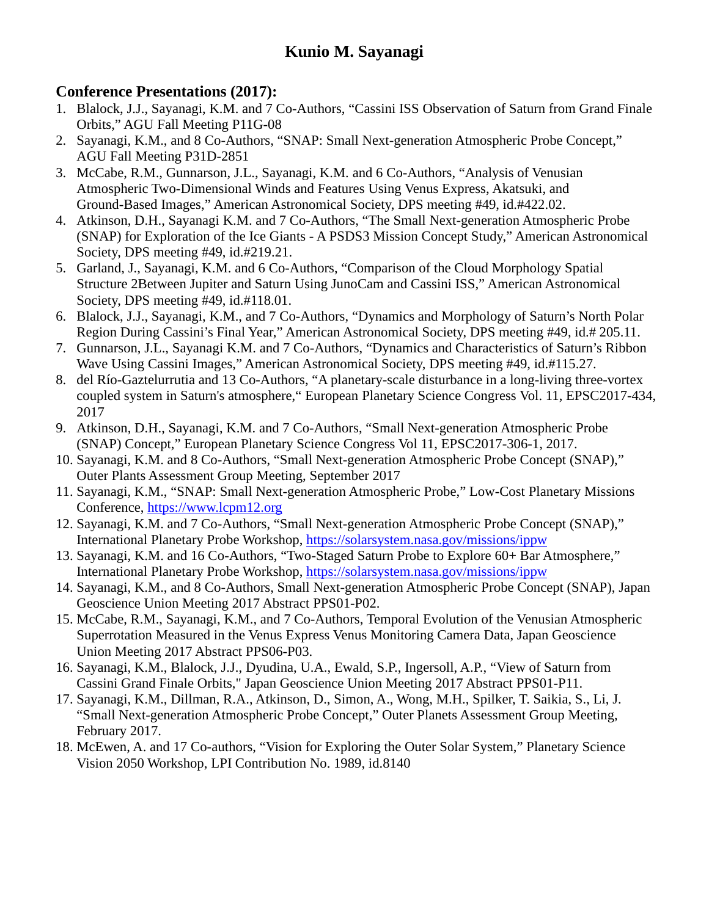### **Conference Presentations (2017):**

- 1. Blalock, J.J., Sayanagi, K.M. and 7 Co-Authors, "Cassini ISS Observation of Saturn from Grand Finale Orbits," AGU Fall Meeting P11G-08
- 2. Sayanagi, K.M., and 8 Co-Authors, "SNAP: Small Next-generation Atmospheric Probe Concept," AGU Fall Meeting P31D-2851
- 3. McCabe, R.M., Gunnarson, J.L., Sayanagi, K.M. and 6 Co-Authors, "Analysis of Venusian Atmospheric Two-Dimensional Winds and Features Using Venus Express, Akatsuki, and Ground-Based Images," American Astronomical Society, DPS meeting #49, id.#422.02.
- 4. Atkinson, D.H., Sayanagi K.M. and 7 Co-Authors, "The Small Next-generation Atmospheric Probe (SNAP) for Exploration of the Ice Giants - A PSDS3 Mission Concept Study," American Astronomical Society, DPS meeting #49, id.#219.21.
- 5. Garland, J., Sayanagi, K.M. and 6 Co-Authors, "Comparison of the Cloud Morphology Spatial Structure 2Between Jupiter and Saturn Using JunoCam and Cassini ISS," American Astronomical Society, DPS meeting #49, id.#118.01.
- 6. Blalock, J.J., Sayanagi, K.M., and 7 Co-Authors, "Dynamics and Morphology of Saturn's North Polar Region During Cassini's Final Year," American Astronomical Society, DPS meeting #49, id.# 205.11.
- 7. Gunnarson, J.L., Sayanagi K.M. and 7 Co-Authors, "Dynamics and Characteristics of Saturn's Ribbon Wave Using Cassini Images," American Astronomical Society, DPS meeting #49, id.#115.27.
- 8. del Río-Gaztelurrutia and 13 Co-Authors, "A planetary-scale disturbance in a long-living three-vortex coupled system in Saturn's atmosphere," European Planetary Science Congress Vol. 11, EPSC2017-434, 2017
- 9. Atkinson, D.H., Sayanagi, K.M. and 7 Co-Authors, "Small Next-generation Atmospheric Probe (SNAP) Concept," European Planetary Science Congress Vol 11, EPSC2017-306-1, 2017.
- 10. Sayanagi, K.M. and 8 Co-Authors, "Small Next-generation Atmospheric Probe Concept (SNAP)," Outer Plants Assessment Group Meeting, September 2017
- 11. Sayanagi, K.M., "SNAP: Small Next-generation Atmospheric Probe," Low-Cost Planetary Missions Conference, [https://www.lcpm12.org](https://www.lcpm12.org/)
- 12. Sayanagi, K.M. and 7 Co-Authors, "Small Next-generation Atmospheric Probe Concept (SNAP)," International Planetary Probe Workshop,<https://solarsystem.nasa.gov/missions/ippw>
- 13. Sayanagi, K.M. and 16 Co-Authors, "Two-Staged Saturn Probe to Explore 60+ Bar Atmosphere," International Planetary Probe Workshop,<https://solarsystem.nasa.gov/missions/ippw>
- 14. Sayanagi, K.M., and 8 Co-Authors, Small Next-generation Atmospheric Probe Concept (SNAP), Japan Geoscience Union Meeting 2017 Abstract PPS01-P02.
- 15. McCabe, R.M., Sayanagi, K.M., and 7 Co-Authors, Temporal Evolution of the Venusian Atmospheric Superrotation Measured in the Venus Express Venus Monitoring Camera Data, Japan Geoscience Union Meeting 2017 Abstract PPS06-P03.
- 16. Sayanagi, K.M., Blalock, J.J., Dyudina, U.A., Ewald, S.P., Ingersoll, A.P., "View of Saturn from Cassini Grand Finale Orbits," Japan Geoscience Union Meeting 2017 Abstract PPS01-P11.
- 17. Sayanagi, K.M., Dillman, R.A., Atkinson, D., Simon, A., Wong, M.H., Spilker, T. Saikia, S., Li, J. "Small Next-generation Atmospheric Probe Concept," Outer Planets Assessment Group Meeting, February 2017.
- 18. McEwen, A. and 17 Co-authors, "Vision for Exploring the Outer Solar System," Planetary Science Vision 2050 Workshop, LPI Contribution No. 1989, id.8140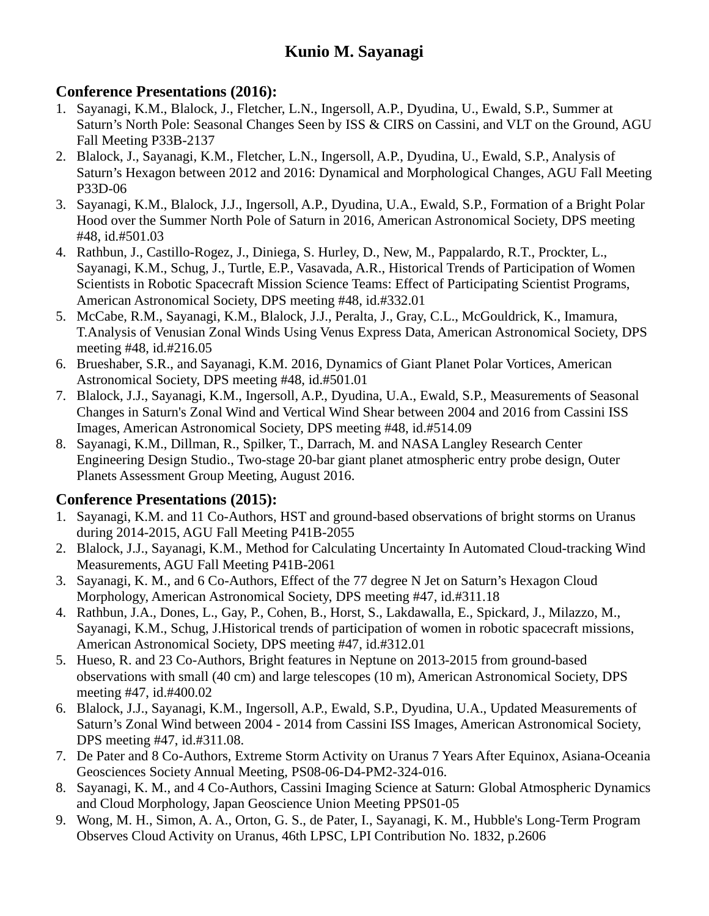### **Conference Presentations (2016):**

- 1. Sayanagi, K.M., Blalock, J., Fletcher, L.N., Ingersoll, A.P., Dyudina, U., Ewald, S.P., Summer at Saturn's North Pole: Seasonal Changes Seen by ISS & CIRS on Cassini, and VLT on the Ground, AGU Fall Meeting P33B-2137
- 2. Blalock, J., Sayanagi, K.M., Fletcher, L.N., Ingersoll, A.P., Dyudina, U., Ewald, S.P., Analysis of Saturn's Hexagon between 2012 and 2016: Dynamical and Morphological Changes, AGU Fall Meeting P33D-06
- 3. Sayanagi, K.M., Blalock, J.J., Ingersoll, A.P., Dyudina, U.A., Ewald, S.P., Formation of a Bright Polar Hood over the Summer North Pole of Saturn in 2016, American Astronomical Society, DPS meeting #48, id.#501.03
- 4. Rathbun, J., Castillo-Rogez, J., Diniega, S. Hurley, D., New, M., Pappalardo, R.T., Prockter, L., Sayanagi, K.M., Schug, J., Turtle, E.P., Vasavada, A.R., Historical Trends of Participation of Women Scientists in Robotic Spacecraft Mission Science Teams: Effect of Participating Scientist Programs, American Astronomical Society, DPS meeting #48, id.#332.01
- 5. McCabe, R.M., Sayanagi, K.M., Blalock, J.J., Peralta, J., Gray, C.L., McGouldrick, K., Imamura, T.Analysis of Venusian Zonal Winds Using Venus Express Data, American Astronomical Society, DPS meeting #48, id.#216.05
- 6. Brueshaber, S.R., and Sayanagi, K.M. 2016, Dynamics of Giant Planet Polar Vortices, American Astronomical Society, DPS meeting #48, id.#501.01
- 7. Blalock, J.J., Sayanagi, K.M., Ingersoll, A.P., Dyudina, U.A., Ewald, S.P., Measurements of Seasonal Changes in Saturn's Zonal Wind and Vertical Wind Shear between 2004 and 2016 from Cassini ISS Images, American Astronomical Society, DPS meeting #48, id.#514.09
- 8. Sayanagi, K.M., Dillman, R., Spilker, T., Darrach, M. and NASA Langley Research Center Engineering Design Studio., Two-stage 20-bar giant planet atmospheric entry probe design, Outer Planets Assessment Group Meeting, August 2016.

### **Conference Presentations (2015):**

- 1. Sayanagi, K.M. and 11 Co-Authors, HST and ground-based observations of bright storms on Uranus during 2014-2015, AGU Fall Meeting P41B-2055
- 2. Blalock, J.J., Sayanagi, K.M., Method for Calculating Uncertainty In Automated Cloud-tracking Wind Measurements, AGU Fall Meeting P41B-2061
- 3. Sayanagi, K. M., and 6 Co-Authors, Effect of the 77 degree N Jet on Saturn's Hexagon Cloud Morphology, American Astronomical Society, DPS meeting #47, id.#311.18
- 4. Rathbun, J.A., Dones, L., Gay, P., Cohen, B., Horst, S., Lakdawalla, E., Spickard, J., Milazzo, M., Sayanagi, K.M., Schug, J.Historical trends of participation of women in robotic spacecraft missions, American Astronomical Society, DPS meeting #47, id.#312.01
- 5. Hueso, R. and 23 Co-Authors, Bright features in Neptune on 2013-2015 from ground-based observations with small (40 cm) and large telescopes (10 m), American Astronomical Society, DPS meeting #47, id.#400.02
- 6. Blalock, J.J., Sayanagi, K.M., Ingersoll, A.P., Ewald, S.P., Dyudina, U.A., Updated Measurements of Saturn's Zonal Wind between 2004 - 2014 from Cassini ISS Images, American Astronomical Society, DPS meeting #47, id.#311.08.
- 7. De Pater and 8 Co-Authors, Extreme Storm Activity on Uranus 7 Years After Equinox, Asiana-Oceania Geosciences Society Annual Meeting, PS08-06-D4-PM2-324-016.
- 8. Sayanagi, K. M., and 4 Co-Authors, Cassini Imaging Science at Saturn: Global Atmospheric Dynamics and Cloud Morphology, Japan Geoscience Union Meeting PPS01-05
- 9. Wong, M. H., Simon, A. A., Orton, G. S., de Pater, I., Sayanagi, K. M., Hubble's Long-Term Program Observes Cloud Activity on Uranus, 46th LPSC, LPI Contribution No. 1832, p.2606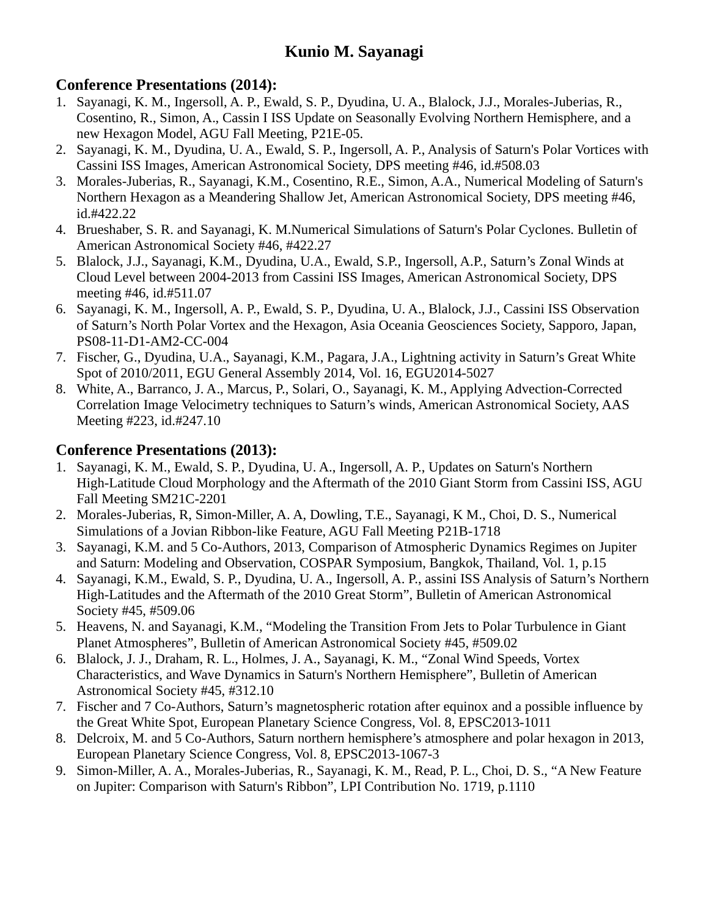### **Conference Presentations (2014):**

- 1. Sayanagi, K. M., Ingersoll, A. P., Ewald, S. P., Dyudina, U. A., Blalock, J.J., Morales-Juberias, R., Cosentino, R., Simon, A., Cassin I ISS Update on Seasonally Evolving Northern Hemisphere, and a new Hexagon Model, AGU Fall Meeting, P21E-05.
- 2. Sayanagi, K. M., Dyudina, U. A., Ewald, S. P., Ingersoll, A. P., Analysis of Saturn's Polar Vortices with Cassini ISS Images, American Astronomical Society, DPS meeting #46, id.#508.03
- 3. Morales-Juberias, R., Sayanagi, K.M., Cosentino, R.E., Simon, A.A., Numerical Modeling of Saturn's Northern Hexagon as a Meandering Shallow Jet, American Astronomical Society, DPS meeting #46, id.#422.22
- 4. Brueshaber, S. R. and Sayanagi, K. M.Numerical Simulations of Saturn's Polar Cyclones. Bulletin of American Astronomical Society #46, #422.27
- 5. Blalock, J.J., Sayanagi, K.M., Dyudina, U.A., Ewald, S.P., Ingersoll, A.P., Saturn's Zonal Winds at Cloud Level between 2004-2013 from Cassini ISS Images, American Astronomical Society, DPS meeting #46, id.#511.07
- 6. Sayanagi, K. M., Ingersoll, A. P., Ewald, S. P., Dyudina, U. A., Blalock, J.J., Cassini ISS Observation of Saturn's North Polar Vortex and the Hexagon, Asia Oceania Geosciences Society, Sapporo, Japan, PS08-11-D1-AM2-CC-004
- 7. Fischer, G., Dyudina, U.A., Sayanagi, K.M., Pagara, J.A., Lightning activity in Saturn's Great White Spot of 2010/2011, EGU General Assembly 2014, Vol. 16, EGU2014-5027
- 8. White, A., Barranco, J. A., Marcus, P., Solari, O., Sayanagi, K. M., Applying Advection-Corrected Correlation Image Velocimetry techniques to Saturn's winds, American Astronomical Society, AAS Meeting #223, id.#247.10

### **Conference Presentations (2013):**

- 1. Sayanagi, K. M., Ewald, S. P., Dyudina, U. A., Ingersoll, A. P., Updates on Saturn's Northern High-Latitude Cloud Morphology and the Aftermath of the 2010 Giant Storm from Cassini ISS, AGU Fall Meeting SM21C-2201
- 2. Morales-Juberias, R, Simon-Miller, A. A, Dowling, T.E., Sayanagi, K M., Choi, D. S., Numerical Simulations of a Jovian Ribbon-like Feature, AGU Fall Meeting P21B-1718
- 3. Sayanagi, K.M. and 5 Co-Authors, 2013, Comparison of Atmospheric Dynamics Regimes on Jupiter and Saturn: Modeling and Observation, COSPAR Symposium, Bangkok, Thailand, Vol. 1, p.15
- 4. Sayanagi, K.M., Ewald, S. P., Dyudina, U. A., Ingersoll, A. P., assini ISS Analysis of Saturn's Northern High-Latitudes and the Aftermath of the 2010 Great Storm", Bulletin of American Astronomical Society #45, #509.06
- 5. Heavens, N. and Sayanagi, K.M., "Modeling the Transition From Jets to Polar Turbulence in Giant Planet Atmospheres", Bulletin of American Astronomical Society #45, #509.02
- 6. Blalock, J. J., Draham, R. L., Holmes, J. A., Sayanagi, K. M., "Zonal Wind Speeds, Vortex Characteristics, and Wave Dynamics in Saturn's Northern Hemisphere", Bulletin of American Astronomical Society #45, #312.10
- 7. Fischer and 7 Co-Authors, Saturn's magnetospheric rotation after equinox and a possible influence by the Great White Spot, European Planetary Science Congress, Vol. 8, EPSC2013-1011
- 8. Delcroix, M. and 5 Co-Authors, Saturn northern hemisphere's atmosphere and polar hexagon in 2013, European Planetary Science Congress, Vol. 8, EPSC2013-1067-3
- 9. Simon-Miller, A. A., Morales-Juberias, R., Sayanagi, K. M., Read, P. L., Choi, D. S., "A New Feature on Jupiter: Comparison with Saturn's Ribbon", LPI Contribution No. 1719, p.1110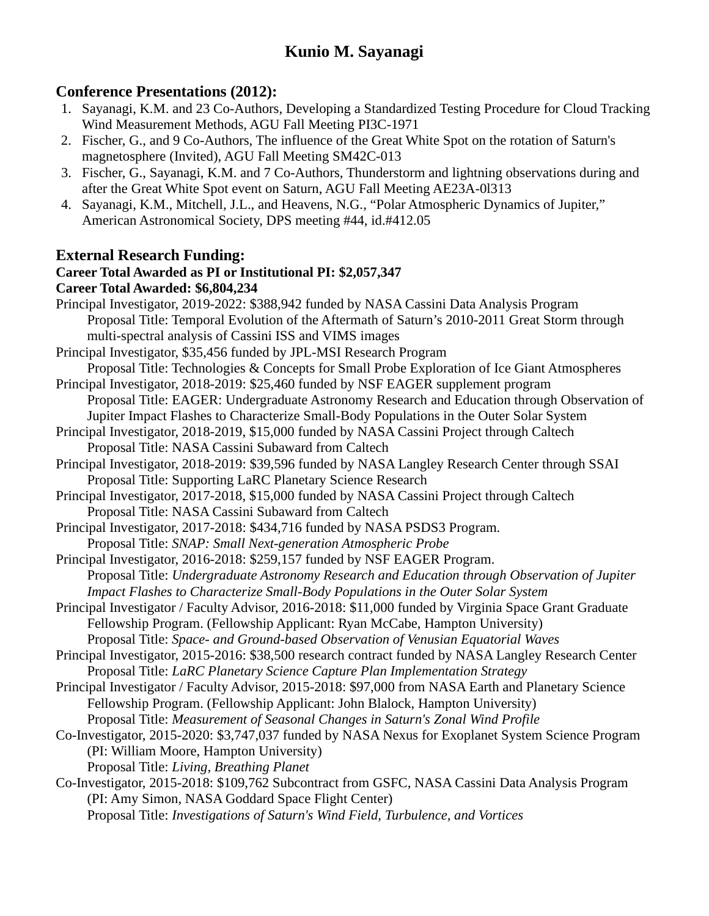#### **Conference Presentations (2012):**

- 1. Sayanagi, K.M. and 23 Co-Authors, Developing a Standardized Testing Procedure for Cloud Tracking Wind Measurement Methods, AGU Fall Meeting PI3C-1971
- 2. Fischer, G., and 9 Co-Authors, The influence of the Great White Spot on the rotation of Saturn's magnetosphere (Invited), AGU Fall Meeting SM42C-013
- 3. Fischer, G., Sayanagi, K.M. and 7 Co-Authors, Thunderstorm and lightning observations during and after the Great White Spot event on Saturn, AGU Fall Meeting AE23A-0l313
- 4. Sayanagi, K.M., Mitchell, J.L., and Heavens, N.G., "Polar Atmospheric Dynamics of Jupiter," American Astronomical Society, DPS meeting #44, id.#412.05

#### **External Research Funding:**

#### **Career Total Awarded as PI or Institutional PI: \$2,057,347 Career Total Awarded: \$6,804,234**

Principal Investigator, 2019-2022: \$388,942 funded by NASA Cassini Data Analysis Program Proposal Title: Temporal Evolution of the Aftermath of Saturn's 2010-2011 Great Storm through multi-spectral analysis of Cassini ISS and VIMS images Principal Investigator, \$35,456 funded by JPL-MSI Research Program Proposal Title: Technologies & Concepts for Small Probe Exploration of Ice Giant Atmospheres Principal Investigator, 2018-2019: \$25,460 funded by NSF EAGER supplement program Proposal Title: EAGER: Undergraduate Astronomy Research and Education through Observation of Jupiter Impact Flashes to Characterize Small-Body Populations in the Outer Solar System Principal Investigator, 2018-2019, \$15,000 funded by NASA Cassini Project through Caltech Proposal Title: NASA Cassini Subaward from Caltech Principal Investigator, 2018-2019: \$39,596 funded by NASA Langley Research Center through SSAI Proposal Title: Supporting LaRC Planetary Science Research Principal Investigator, 2017-2018, \$15,000 funded by NASA Cassini Project through Caltech Proposal Title: NASA Cassini Subaward from Caltech Principal Investigator, 2017-2018: \$434,716 funded by NASA PSDS3 Program. Proposal Title: *SNAP: Small Next-generation Atmospheric Probe* Principal Investigator, 2016-2018: \$259,157 funded by NSF EAGER Program. Proposal Title: *Undergraduate Astronomy Research and Education through Observation of Jupiter Impact Flashes to Characterize Small-Body Populations in the Outer Solar System* Principal Investigator / Faculty Advisor, 2016-2018: \$11,000 funded by Virginia Space Grant Graduate Fellowship Program. (Fellowship Applicant: Ryan McCabe, Hampton University) Proposal Title: *Space- and Ground-based Observation of Venusian Equatorial Waves* Principal Investigator, 2015-2016: \$38,500 research contract funded by NASA Langley Research Center Proposal Title: *LaRC Planetary Science Capture Plan Implementation Strategy* Principal Investigator / Faculty Advisor, 2015-2018: \$97,000 from NASA Earth and Planetary Science Fellowship Program. (Fellowship Applicant: John Blalock, Hampton University) Proposal Title: *Measurement of Seasonal Changes in Saturn's Zonal Wind Profile*  Co-Investigator, 2015-2020: \$3,747,037 funded by NASA Nexus for Exoplanet System Science Program (PI: William Moore, Hampton University) Proposal Title: *Living, Breathing Planet* Co-Investigator, 2015-2018: \$109,762 Subcontract from GSFC, NASA Cassini Data Analysis Program (PI: Amy Simon, NASA Goddard Space Flight Center) Proposal Title: *Investigations of Saturn's Wind Field, Turbulence, and Vortices*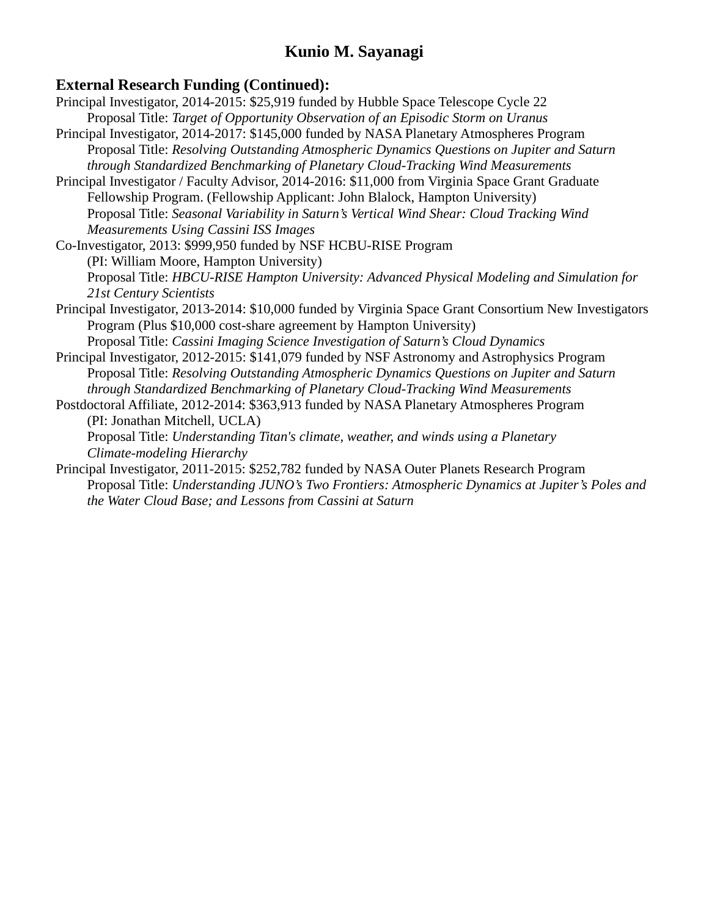#### **External Research Funding (Continued):**

- Principal Investigator, 2014-2015: \$25,919 funded by Hubble Space Telescope Cycle 22 Proposal Title: *Target of Opportunity Observation of an Episodic Storm on Uranus*
- Principal Investigator, 2014-2017: \$145,000 funded by NASA Planetary Atmospheres Program Proposal Title: *Resolving Outstanding Atmospheric Dynamics Questions on Jupiter and Saturn through Standardized Benchmarking of Planetary Cloud-Tracking Wind Measurements*
- Principal Investigator / Faculty Advisor, 2014-2016: \$11,000 from Virginia Space Grant Graduate Fellowship Program. (Fellowship Applicant: John Blalock, Hampton University) Proposal Title: *Seasonal Variability in Saturn's Vertical Wind Shear: Cloud Tracking Wind Measurements Using Cassini ISS Images*
- Co-Investigator, 2013: \$999,950 funded by NSF HCBU-RISE Program (PI: William Moore, Hampton University) Proposal Title: *HBCU-RISE Hampton University: Advanced Physical Modeling and Simulation for 21st Century Scientists*
- Principal Investigator, 2013-2014: \$10,000 funded by Virginia Space Grant Consortium New Investigators Program (Plus \$10,000 cost-share agreement by Hampton University) Proposal Title: *Cassini Imaging Science Investigation of Saturn's Cloud Dynamics*
- Principal Investigator, 2012-2015: \$141,079 funded by NSF Astronomy and Astrophysics Program Proposal Title: *Resolving Outstanding Atmospheric Dynamics Questions on Jupiter and Saturn through Standardized Benchmarking of Planetary Cloud-Tracking Wind Measurements*

Postdoctoral Affiliate, 2012-2014: \$363,913 funded by NASA Planetary Atmospheres Program (PI: Jonathan Mitchell, UCLA)

Proposal Title: *Understanding Titan's climate, weather, and winds using a Planetary Climate-modeling Hierarchy*

Principal Investigator, 2011-2015: \$252,782 funded by NASA Outer Planets Research Program Proposal Title: *Understanding JUNO's Two Frontiers: Atmospheric Dynamics at Jupiter's Poles and the Water Cloud Base; and Lessons from Cassini at Saturn*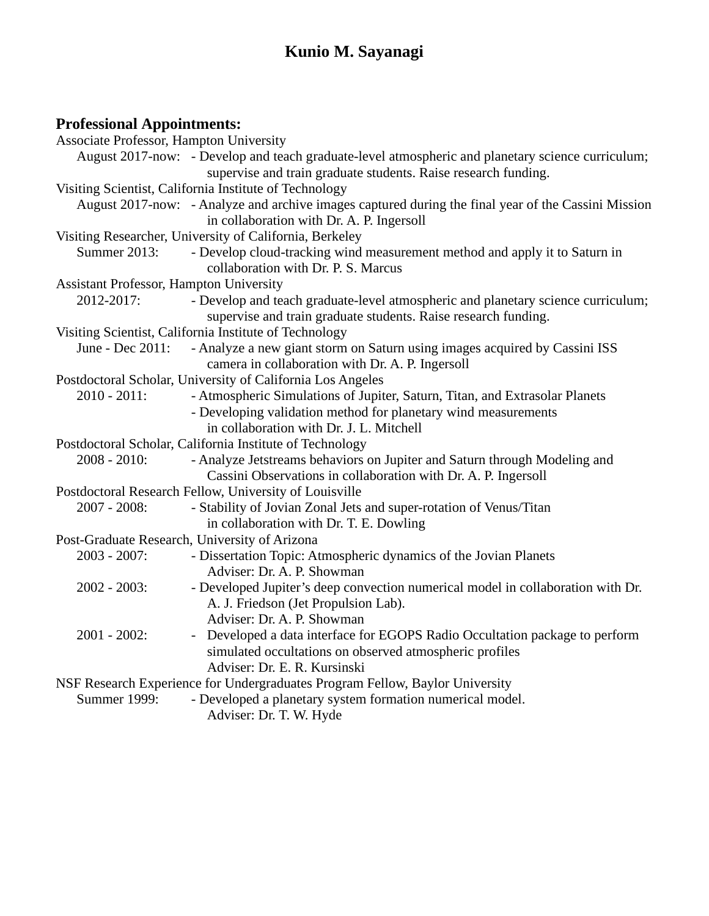# **Professional Appointments:**

| <b>Associate Professor, Hampton University</b> |                                                                                                                                                                        |
|------------------------------------------------|------------------------------------------------------------------------------------------------------------------------------------------------------------------------|
|                                                | August 2017-now: - Develop and teach graduate-level atmospheric and planetary science curriculum;<br>supervise and train graduate students. Raise research funding.    |
|                                                | Visiting Scientist, California Institute of Technology                                                                                                                 |
|                                                | August 2017-now: - Analyze and archive images captured during the final year of the Cassini Mission<br>in collaboration with Dr. A. P. Ingersoll                       |
|                                                | Visiting Researcher, University of California, Berkeley                                                                                                                |
| Summer 2013:                                   | - Develop cloud-tracking wind measurement method and apply it to Saturn in<br>collaboration with Dr. P. S. Marcus                                                      |
| Assistant Professor, Hampton University        |                                                                                                                                                                        |
| 2012-2017:                                     | - Develop and teach graduate-level atmospheric and planetary science curriculum;<br>supervise and train graduate students. Raise research funding.                     |
|                                                | Visiting Scientist, California Institute of Technology                                                                                                                 |
| June - Dec 2011:                               | - Analyze a new giant storm on Saturn using images acquired by Cassini ISS<br>camera in collaboration with Dr. A. P. Ingersoll                                         |
|                                                | Postdoctoral Scholar, University of California Los Angeles                                                                                                             |
| $2010 - 2011$ :                                | - Atmospheric Simulations of Jupiter, Saturn, Titan, and Extrasolar Planets<br>- Developing validation method for planetary wind measurements                          |
|                                                | in collaboration with Dr. J. L. Mitchell                                                                                                                               |
|                                                | Postdoctoral Scholar, California Institute of Technology                                                                                                               |
| $2008 - 2010$ :                                | - Analyze Jetstreams behaviors on Jupiter and Saturn through Modeling and                                                                                              |
|                                                | Cassini Observations in collaboration with Dr. A. P. Ingersoll                                                                                                         |
|                                                | Postdoctoral Research Fellow, University of Louisville                                                                                                                 |
| 2007 - 2008:                                   | - Stability of Jovian Zonal Jets and super-rotation of Venus/Titan<br>in collaboration with Dr. T. E. Dowling                                                          |
|                                                | Post-Graduate Research, University of Arizona                                                                                                                          |
| $2003 - 2007$ :                                | - Dissertation Topic: Atmospheric dynamics of the Jovian Planets<br>Adviser: Dr. A. P. Showman                                                                         |
| $2002 - 2003$ :                                | - Developed Jupiter's deep convection numerical model in collaboration with Dr.<br>A. J. Friedson (Jet Propulsion Lab).<br>Adviser: Dr. A. P. Showman                  |
| $2001 - 2002$ :                                | - Developed a data interface for EGOPS Radio Occultation package to perform<br>simulated occultations on observed atmospheric profiles<br>Adviser: Dr. E. R. Kursinski |
|                                                | NSF Research Experience for Undergraduates Program Fellow, Baylor University                                                                                           |
| <b>Summer 1999:</b>                            | - Developed a planetary system formation numerical model.<br>Adviser: Dr. T. W. Hyde                                                                                   |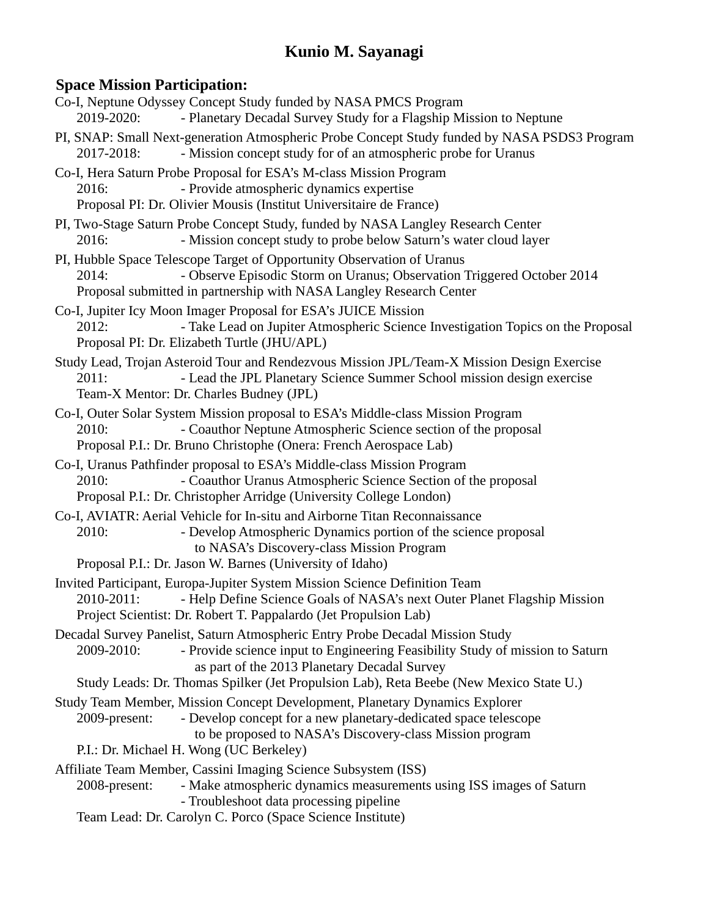### **Space Mission Participation:**

| $\mathbf{u}$ ce $\mathbf{v}$ . This real is a compact of $\mathbf{u}$<br>Co-I, Neptune Odyssey Concept Study funded by NASA PMCS Program<br>- Planetary Decadal Survey Study for a Flagship Mission to Neptune<br>2019-2020:                                           |
|------------------------------------------------------------------------------------------------------------------------------------------------------------------------------------------------------------------------------------------------------------------------|
| PI, SNAP: Small Next-generation Atmospheric Probe Concept Study funded by NASA PSDS3 Program<br>- Mission concept study for of an atmospheric probe for Uranus<br>2017-2018:                                                                                           |
| Co-I, Hera Saturn Probe Proposal for ESA's M-class Mission Program<br>- Provide atmospheric dynamics expertise<br>2016:<br>Proposal PI: Dr. Olivier Mousis (Institut Universitaire de France)                                                                          |
| PI, Two-Stage Saturn Probe Concept Study, funded by NASA Langley Research Center<br>- Mission concept study to probe below Saturn's water cloud layer<br>2016:                                                                                                         |
| PI, Hubble Space Telescope Target of Opportunity Observation of Uranus<br>2014:<br>- Observe Episodic Storm on Uranus; Observation Triggered October 2014<br>Proposal submitted in partnership with NASA Langley Research Center                                       |
| Co-I, Jupiter Icy Moon Imager Proposal for ESA's JUICE Mission<br>- Take Lead on Jupiter Atmospheric Science Investigation Topics on the Proposal<br>2012:<br>Proposal PI: Dr. Elizabeth Turtle (JHU/APL)                                                              |
| Study Lead, Trojan Asteroid Tour and Rendezvous Mission JPL/Team-X Mission Design Exercise<br>- Lead the JPL Planetary Science Summer School mission design exercise<br>2011:<br>Team-X Mentor: Dr. Charles Budney (JPL)                                               |
| Co-I, Outer Solar System Mission proposal to ESA's Middle-class Mission Program<br>- Coauthor Neptune Atmospheric Science section of the proposal<br>2010:<br>Proposal P.I.: Dr. Bruno Christophe (Onera: French Aerospace Lab)                                        |
| Co-I, Uranus Pathfinder proposal to ESA's Middle-class Mission Program<br>- Coauthor Uranus Atmospheric Science Section of the proposal<br>2010:<br>Proposal P.I.: Dr. Christopher Arridge (University College London)                                                 |
| Co-I, AVIATR: Aerial Vehicle for In-situ and Airborne Titan Reconnaissance<br>- Develop Atmospheric Dynamics portion of the science proposal<br>2010:<br>to NASA's Discovery-class Mission Program                                                                     |
| Proposal P.I.: Dr. Jason W. Barnes (University of Idaho)                                                                                                                                                                                                               |
| Invited Participant, Europa-Jupiter System Mission Science Definition Team<br>2010-2011:<br>- Help Define Science Goals of NASA's next Outer Planet Flagship Mission<br>Project Scientist: Dr. Robert T. Pappalardo (Jet Propulsion Lab)                               |
| Decadal Survey Panelist, Saturn Atmospheric Entry Probe Decadal Mission Study<br>- Provide science input to Engineering Feasibility Study of mission to Saturn<br>2009-2010:<br>as part of the 2013 Planetary Decadal Survey                                           |
| Study Leads: Dr. Thomas Spilker (Jet Propulsion Lab), Reta Beebe (New Mexico State U.)                                                                                                                                                                                 |
| Study Team Member, Mission Concept Development, Planetary Dynamics Explorer<br>- Develop concept for a new planetary-dedicated space telescope<br>2009-present:<br>to be proposed to NASA's Discovery-class Mission program<br>P.I.: Dr. Michael H. Wong (UC Berkeley) |
| Affiliate Team Member, Cassini Imaging Science Subsystem (ISS)                                                                                                                                                                                                         |
| - Make atmospheric dynamics measurements using ISS images of Saturn<br>2008-present:<br>- Troubleshoot data processing pipeline                                                                                                                                        |
| Team Lead: Dr. Carolyn C. Porco (Space Science Institute)                                                                                                                                                                                                              |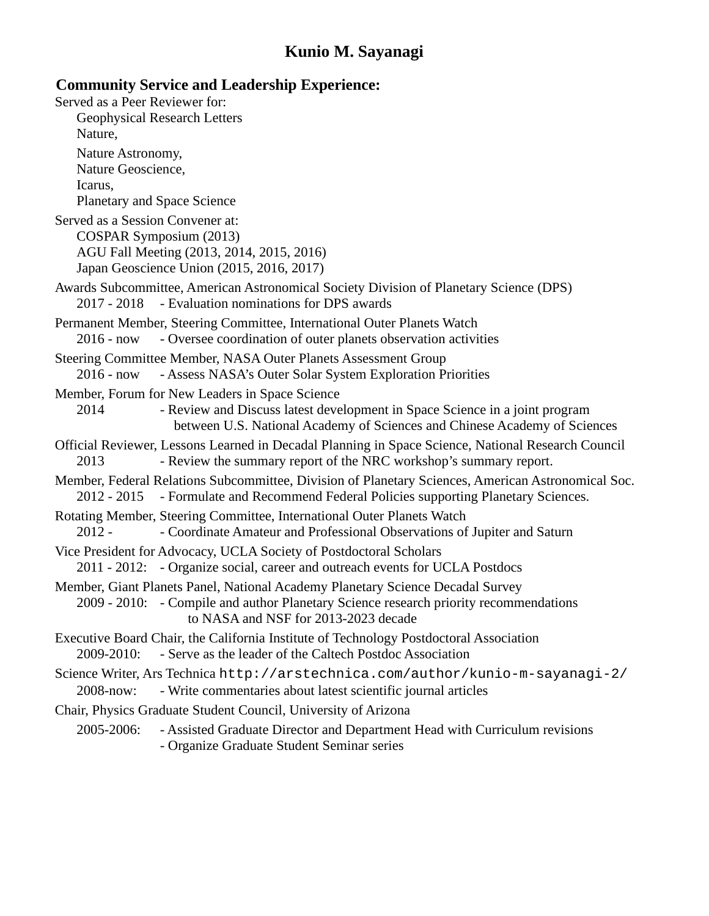#### **Community Service and Leadership Experience:**

Served as a Peer Reviewer for: Geophysical Research Letters Nature, Nature Astronomy, Nature Geoscience, Icarus, Planetary and Space Science Served as a Session Convener at: COSPAR Symposium (2013) AGU Fall Meeting (2013, 2014, 2015, 2016) Japan Geoscience Union (2015, 2016, 2017) Awards Subcommittee, American Astronomical Society Division of Planetary Science (DPS) 2017 - 2018 - Evaluation nominations for DPS awards Permanent Member, Steering Committee, International Outer Planets Watch 2016 - now - Oversee coordination of outer planets observation activities Steering Committee Member, NASA Outer Planets Assessment Group 2016 - now - Assess NASA's Outer Solar System Exploration Priorities Member, Forum for New Leaders in Space Science 2014 - Review and Discuss latest development in Space Science in a joint program between U.S. National Academy of Sciences and Chinese Academy of Sciences Official Reviewer, Lessons Learned in Decadal Planning in Space Science, National Research Council 2013 - Review the summary report of the NRC workshop's summary report. Member, Federal Relations Subcommittee, Division of Planetary Sciences, American Astronomical Soc. 2012 - 2015 - Formulate and Recommend Federal Policies supporting Planetary Sciences. Rotating Member, Steering Committee, International Outer Planets Watch 2012 - - Coordinate Amateur and Professional Observations of Jupiter and Saturn Vice President for Advocacy, UCLA Society of Postdoctoral Scholars 2011 - 2012: - Organize social, career and outreach events for UCLA Postdocs Member, Giant Planets Panel, National Academy Planetary Science Decadal Survey 2009 - 2010: - Compile and author Planetary Science research priority recommendations to NASA and NSF for 2013-2023 decade Executive Board Chair, the California Institute of Technology Postdoctoral Association 2009-2010: - Serve as the leader of the Caltech Postdoc Association Science Writer, Ars Technica http://arstechnica.com/author/kunio-m-sayanagi-2/ 2008-now: - Write commentaries about latest scientific journal articles Chair, Physics Graduate Student Council, University of Arizona 2005-2006: - Assisted Graduate Director and Department Head with Curriculum revisions

- Organize Graduate Student Seminar series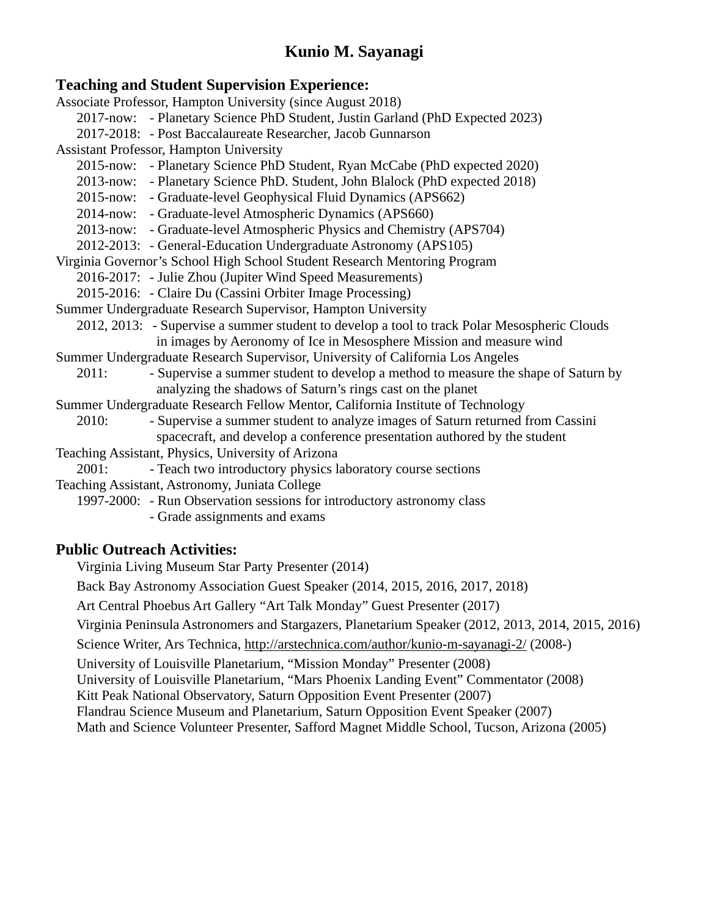#### **Teaching and Student Supervision Experience:**

Associate Professor, Hampton University (since August 2018) 2017-now: - Planetary Science PhD Student, Justin Garland (PhD Expected 2023) 2017-2018: - Post Baccalaureate Researcher, Jacob Gunnarson Assistant Professor, Hampton University 2015-now: - Planetary Science PhD Student, Ryan McCabe (PhD expected 2020) 2013-now: - Planetary Science PhD. Student, John Blalock (PhD expected 2018) 2015-now: - Graduate-level Geophysical Fluid Dynamics (APS662) 2014-now: - Graduate-level Atmospheric Dynamics (APS660) 2013-now: - Graduate-level Atmospheric Physics and Chemistry (APS704) 2012-2013: - General-Education Undergraduate Astronomy (APS105) Virginia Governor's School High School Student Research Mentoring Program 2016-2017: - Julie Zhou (Jupiter Wind Speed Measurements) 2015-2016: - Claire Du (Cassini Orbiter Image Processing) Summer Undergraduate Research Supervisor, Hampton University 2012, 2013: - Supervise a summer student to develop a tool to track Polar Mesospheric Clouds in images by Aeronomy of Ice in Mesosphere Mission and measure wind Summer Undergraduate Research Supervisor, University of California Los Angeles 2011: - Supervise a summer student to develop a method to measure the shape of Saturn by analyzing the shadows of Saturn's rings cast on the planet Summer Undergraduate Research Fellow Mentor, California Institute of Technology 2010: - Supervise a summer student to analyze images of Saturn returned from Cassini spacecraft, and develop a conference presentation authored by the student Teaching Assistant, Physics, University of Arizona 2001: - Teach two introductory physics laboratory course sections Teaching Assistant, Astronomy, Juniata College 1997-2000: - Run Observation sessions for introductory astronomy class - Grade assignments and exams **Public Outreach Activities:** Virginia Living Museum Star Party Presenter (2014) Back Bay Astronomy Association Guest Speaker (2014, 2015, 2016, 2017, 2018) Art Central Phoebus Art Gallery "Art Talk Monday" Guest Presenter (2017) Virginia Peninsula Astronomers and Stargazers, Planetarium Speaker (2012, 2013, 2014, 2015, 2016) Science Writer, Ars Technica, http://arstechnica.com/author/kunio-m-sayanagi-2/ (2008-) University of Louisville Planetarium, "Mission Monday" Presenter (2008)

University of Louisville Planetarium, "Mars Phoenix Landing Event" Commentator (2008)

Kitt Peak National Observatory, Saturn Opposition Event Presenter (2007)

Flandrau Science Museum and Planetarium, Saturn Opposition Event Speaker (2007)

Math and Science Volunteer Presenter, Safford Magnet Middle School, Tucson, Arizona (2005)